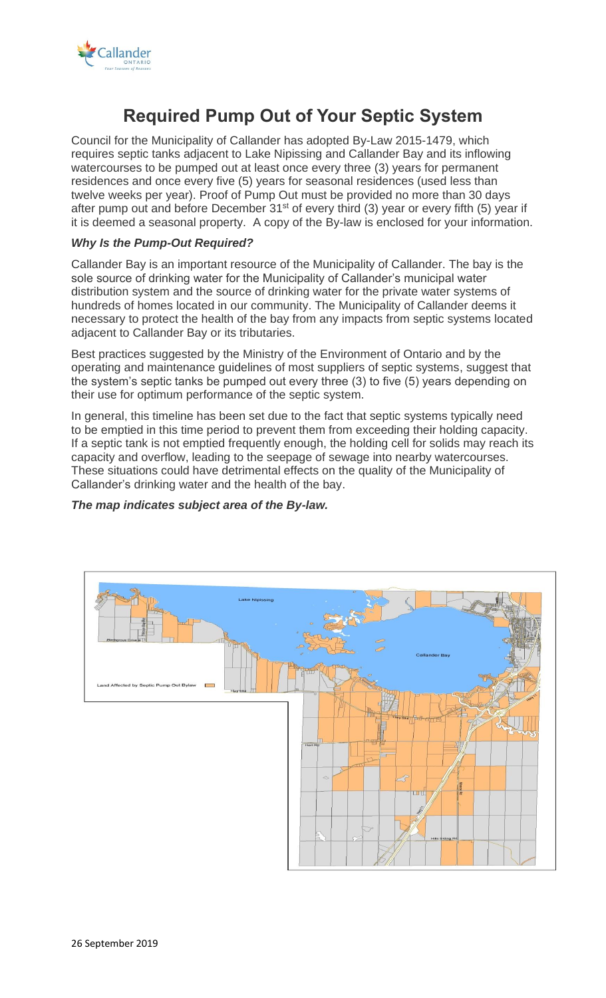

# **Required Pump Out of Your Septic System**

Council for the Municipality of Callander has adopted By-Law 2015-1479, which requires septic tanks adjacent to Lake Nipissing and Callander Bay and its inflowing watercourses to be pumped out at least once every three (3) years for permanent residences and once every five (5) years for seasonal residences (used less than twelve weeks per year). Proof of Pump Out must be provided no more than 30 days after pump out and before December  $31^{st}$  of every third (3) year or every fifth (5) year if it is deemed a seasonal property. A copy of the By-law is enclosed for your information.

## *Why Is the Pump-Out Required?*

Callander Bay is an important resource of the Municipality of Callander. The bay is the sole source of drinking water for the Municipality of Callander's municipal water distribution system and the source of drinking water for the private water systems of hundreds of homes located in our community. The Municipality of Callander deems it necessary to protect the health of the bay from any impacts from septic systems located adjacent to Callander Bay or its tributaries.

Best practices suggested by the Ministry of the Environment of Ontario and by the operating and maintenance guidelines of most suppliers of septic systems, suggest that the system's septic tanks be pumped out every three (3) to five (5) years depending on their use for optimum performance of the septic system.

In general, this timeline has been set due to the fact that septic systems typically need to be emptied in this time period to prevent them from exceeding their holding capacity. If a septic tank is not emptied frequently enough, the holding cell for solids may reach its capacity and overflow, leading to the seepage of sewage into nearby watercourses. These situations could have detrimental effects on the quality of the Municipality of Callander's drinking water and the health of the bay.

## *The map indicates subject area of the By-law.*